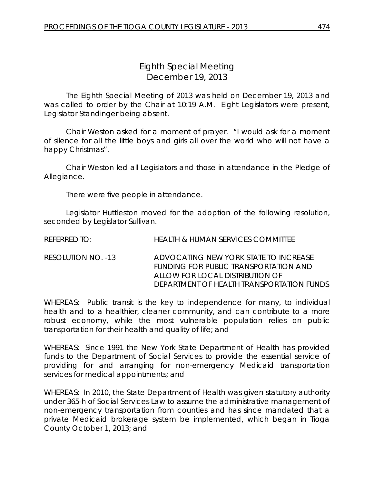# *Eighth Special Meeting* December 19, 2013

The Eighth Special Meeting of 2013 was held on December 19, 2013 and was called to order by the Chair at 10:19 A.M. Eight Legislators were present, Legislator Standinger being absent.

Chair Weston asked for a moment of prayer. "I would ask for a moment of silence for all the little boys and girls all over the world who will not have a happy Christmas".

Chair Weston led all Legislators and those in attendance in the Pledge of Allegiance.

There were five people in attendance.

Legislator Huttleston moved for the adoption of the following resolution, seconded by Legislator Sullivan.

| REFERRED TO:       | HEALTH & HUMAN SERVICES COMMITTEE                                                                                                                              |
|--------------------|----------------------------------------------------------------------------------------------------------------------------------------------------------------|
| RESOLUTION NO. -13 | ADVOCATING NEW YORK STATE TO INCREASE<br>FUNDING FOR PUBLIC TRANSPORTATION AND<br>ALLOW FOR LOCAL DISTRIBUTION OF<br>DEPARTMENT OF HEALTH TRANSPORTATION FUNDS |

WHEREAS: Public transit is the key to independence for many, to individual health and to a healthier, cleaner community, and can contribute to a more robust economy, while the most vulnerable population relies on public transportation for their health and quality of life; and

WHEREAS: Since 1991 the New York State Department of Health has provided funds to the Department of Social Services to provide the essential service of providing for and arranging for non-emergency Medicaid transportation services for medical appointments; and

WHEREAS: In 2010, the State Department of Health was given statutory authority under 365-h of Social Services Law to assume the administrative management of non-emergency transportation from counties and has since mandated that a private Medicaid brokerage system be implemented, which began in Tioga County October 1, 2013; and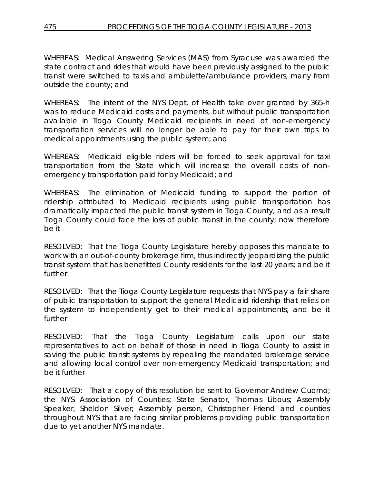WHEREAS: Medical Answering Services (MAS) from Syracuse was awarded the state contract and rides that would have been previously assigned to the public transit were switched to taxis and ambulette/ambulance providers, many from outside the county; and

WHEREAS: The intent of the NYS Dept. of Health take over granted by 365-h was to reduce Medicaid costs and payments, but without public transportation available in Tioga County Medicaid recipients in need of non-emergency transportation services will no longer be able to pay for their own trips to medical appointments using the public system; and

WHEREAS: Medicaid eligible riders will be forced to seek approval for taxi transportation from the State which will increase the overall costs of nonemergency transportation paid for by Medicaid; and

WHEREAS: The elimination of Medicaid funding to support the portion of ridership attributed to Medicaid recipients using public transportation has dramatically impacted the public transit system in Tioga County, and as a result Tioga County could face the loss of public transit in the county; now therefore be it

RESOLVED:That the Tioga County Legislature hereby opposes this mandate to work with an out-of-county brokerage firm, thus indirectly jeopardizing the public transit system that has benefitted County residents for the last 20 years; and be it further

RESOLVED: That the Tioga County Legislature requests that NYS pay a fair share of public transportation to support the general Medicaid ridership that relies on the system to independently get to their medical appointments; and be it further

RESOLVED: That the Tioga County Legislature calls upon our state representatives to act on behalf of those in need in Tioga County to assist in saving the public transit systems by repealing the mandated brokerage service and allowing local control over non-emergency Medicaid transportation; and be it further

RESOLVED: That a copy of this resolution be sent to Governor Andrew Cuomo; the NYS Association of Counties; State Senator, Thomas Libous; Assembly Speaker, Sheldon Silver; Assembly person, Christopher Friend and counties throughout NYS that are facing similar problems providing public transportation due to yet another NYS mandate.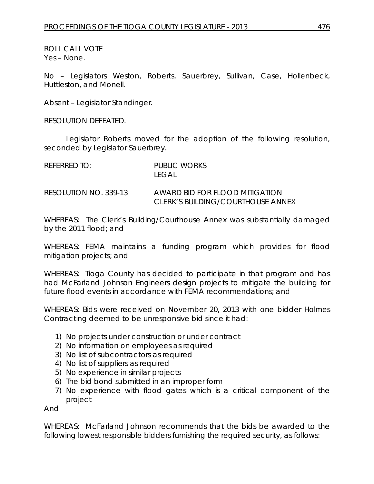ROLL CALL VOTE Yes – None.

No – Legislators Weston, Roberts, Sauerbrey, Sullivan, Case, Hollenbeck, Huttleston, and Monell.

Absent – Legislator Standinger.

RESOLUTION DEFEATED.

Legislator Roberts moved for the adoption of the following resolution, seconded by Legislator Sauerbrey.

| REFERRED TO:          | PUBLIC WORKS<br>$F(\hat{A}A)$                                       |
|-----------------------|---------------------------------------------------------------------|
| RESOLUTION NO. 339-13 | AWARD BID FOR FLOOD MITIGATION<br>CLERK'S BUILDING/COURTHOUSE ANNEX |

WHEREAS: The Clerk's Building/Courthouse Annex was substantially damaged by the 2011 flood; and

WHEREAS: FEMA maintains a funding program which provides for flood mitigation projects; and

WHEREAS: Tioga County has decided to participate in that program and has had McFarland Johnson Engineers design projects to mitigate the building for future flood events in accordance with FEMA recommendations; and

WHEREAS: Bids were received on November 20, 2013 with one bidder Holmes Contracting deemed to be unresponsive bid since it had:

- 1) No projects under construction or under contract
- 2) No information on employees as required
- 3) No list of subcontractors as required
- 4) No list of suppliers as required
- 5) No experience in similar projects
- 6) The bid bond submitted in an improper form
- 7) No experience with flood gates which is a critical component of the project

And

WHEREAS: McFarland Johnson recommends that the bids be awarded to the following lowest responsible bidders furnishing the required security, as follows: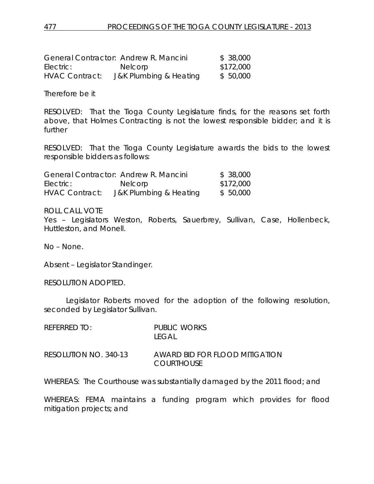| General Contractor: Andrew R. Mancini |                        | \$38,000  |
|---------------------------------------|------------------------|-----------|
| Electric:                             | <b>Nelcorp</b>         | \$172,000 |
| <b>HVAC Contract:</b>                 | J&K Plumbing & Heating | \$50,000  |

Therefore be it

RESOLVED: That the Tioga County Legislature finds, for the reasons set forth above, that Holmes Contracting is not the lowest responsible bidder; and it is further

RESOLVED: That the Tioga County Legislature awards the bids to the lowest responsible bidders as follows:

|                       | General Contractor: Andrew R. Mancini | \$ 38,000 |
|-----------------------|---------------------------------------|-----------|
| Electric:             | <b>Nelcorp</b>                        | \$172,000 |
| <b>HVAC Contract:</b> | J&K Plumbing & Heating                | \$ 50,000 |

ROLL CALL VOTE

Yes – Legislators Weston, Roberts, Sauerbrey, Sullivan, Case, Hollenbeck, Huttleston, and Monell.

No – None.

Absent – Legislator Standinger.

RESOLUTION ADOPTED.

Legislator Roberts moved for the adoption of the following resolution, seconded by Legislator Sullivan.

| REFERRED TO:          | PUBLIC WORKS<br>I FGAL.                             |
|-----------------------|-----------------------------------------------------|
| RESOLUTION NO. 340-13 | AWARD BID FOR FLOOD MITIGATION<br><b>COURTHOUSE</b> |

WHEREAS: The Courthouse was substantially damaged by the 2011 flood; and

WHEREAS: FEMA maintains a funding program which provides for flood mitigation projects; and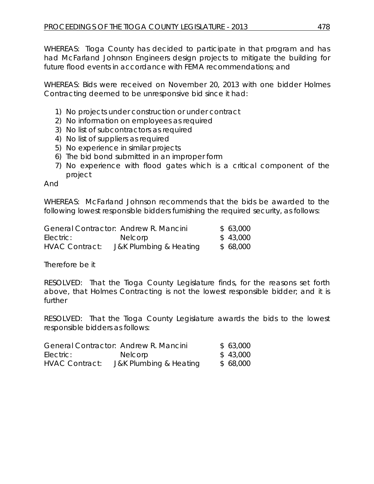WHEREAS: Tioga County has decided to participate in that program and has had McFarland Johnson Engineers design projects to mitigate the building for future flood events in accordance with FEMA recommendations; and

WHEREAS: Bids were received on November 20, 2013 with one bidder Holmes Contracting deemed to be unresponsive bid since it had:

- 1) No projects under construction or under contract
- 2) No information on employees as required
- 3) No list of subcontractors as required
- 4) No list of suppliers as required
- 5) No experience in similar projects
- 6) The bid bond submitted in an improper form
- 7) No experience with flood gates which is a critical component of the project

And

WHEREAS: McFarland Johnson recommends that the bids be awarded to the following lowest responsible bidders furnishing the required security, as follows:

|                       | General Contractor: Andrew R. Mancini | \$63,000 |
|-----------------------|---------------------------------------|----------|
| Electric:             | <b>Nelcorp</b>                        | \$43,000 |
| <b>HVAC Contract:</b> | J&K Plumbing & Heating                | \$68,000 |

Therefore be it

RESOLVED: That the Tioga County Legislature finds, for the reasons set forth above, that Holmes Contracting is not the lowest responsible bidder; and it is further

RESOLVED: That the Tioga County Legislature awards the bids to the lowest responsible bidders as follows:

|                       | General Contractor: Andrew R. Mancini | \$63,000 |
|-----------------------|---------------------------------------|----------|
| Electric:             | <b>Nelcorp</b>                        | \$43,000 |
| <b>HVAC Contract:</b> | J&K Plumbing & Heating                | \$68,000 |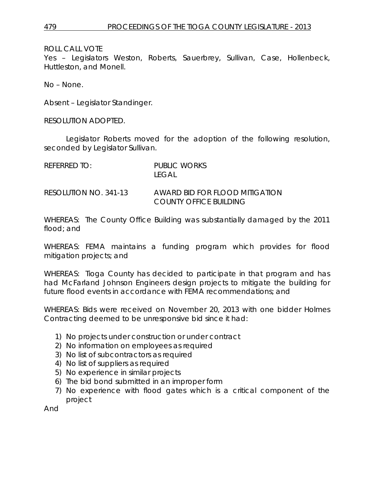ROLL CALL VOTE

Yes – Legislators Weston, Roberts, Sauerbrey, Sullivan, Case, Hollenbeck, Huttleston, and Monell.

No – None.

Absent – Legislator Standinger.

RESOLUTION ADOPTED.

Legislator Roberts moved for the adoption of the following resolution, seconded by Legislator Sullivan.

| RFFFRRFD TO:          | PUBLIC WORKS<br>I FGAL.                                  |
|-----------------------|----------------------------------------------------------|
| RESOLUTION NO. 341-13 | AWARD BID FOR FLOOD MITIGATION<br>COUNTY OFFICE BUILDING |

WHEREAS: The County Office Building was substantially damaged by the 2011 flood; and

WHEREAS: FEMA maintains a funding program which provides for flood mitigation projects; and

WHEREAS: Tioga County has decided to participate in that program and has had McFarland Johnson Engineers design projects to mitigate the building for future flood events in accordance with FEMA recommendations; and

WHEREAS: Bids were received on November 20, 2013 with one bidder Holmes Contracting deemed to be unresponsive bid since it had:

- 1) No projects under construction or under contract
- 2) No information on employees as required
- 3) No list of subcontractors as required
- 4) No list of suppliers as required
- 5) No experience in similar projects
- 6) The bid bond submitted in an improper form
- 7) No experience with flood gates which is a critical component of the project

And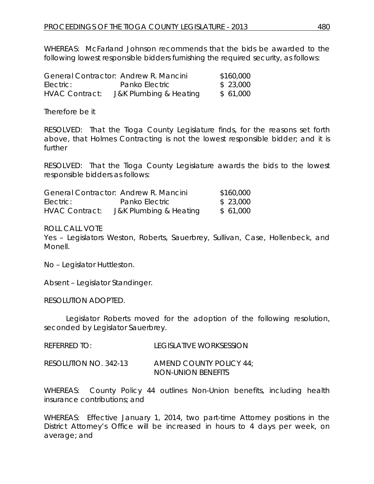WHEREAS: McFarland Johnson recommends that the bids be awarded to the following lowest responsible bidders furnishing the required security, as follows:

|                | General Contractor: Andrew R. Mancini | \$160,000 |
|----------------|---------------------------------------|-----------|
| Electric:      | Panko Electric                        | \$23,000  |
| HVAC Contract: | J&K Plumbing & Heating                | \$61,000  |

Therefore be it

RESOLVED: That the Tioga County Legislature finds, for the reasons set forth above, that Holmes Contracting is not the lowest responsible bidder; and it is further

RESOLVED: That the Tioga County Legislature awards the bids to the lowest responsible bidders as follows:

|                       | General Contractor: Andrew R. Mancini | \$160,000 |
|-----------------------|---------------------------------------|-----------|
| Electric:             | Panko Electric                        | \$23,000  |
| <b>HVAC Contract:</b> | J&K Plumbing & Heating                | \$ 61,000 |

ROLL CALL VOTE

Yes – Legislators Weston, Roberts, Sauerbrey, Sullivan, Case, Hollenbeck, and Monell.

No – Legislator Huttleston.

Absent – Legislator Standinger.

RESOLUTION ADOPTED.

Legislator Roberts moved for the adoption of the following resolution, seconded by Legislator Sauerbrey.

RESOLUTION NO. 342-13 *AMEND COUNTY POLICY 44; NON-UNION BENEFITS*

WHEREAS: County Policy 44 outlines Non-Union benefits, including health insurance contributions; and

WHEREAS: Effective January 1, 2014, two part-time Attorney positions in the District Attorney's Office will be increased in hours to 4 days per week, on average; and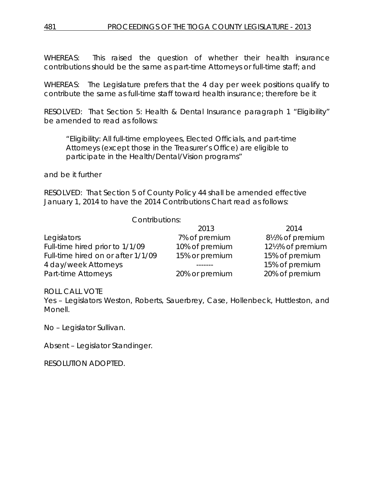WHEREAS: This raised the question of whether their health insurance contributions should be the same as part-time Attorneys or full-time staff; and

WHEREAS: The Legislature prefers that the 4 day per week positions qualify to contribute the same as full-time staff toward health insurance; therefore be it

RESOLVED: That Section 5: Health & Dental Insurance paragraph 1 "Eligibility" be amended to read as follows:

"Eligibility: All full-time employees, Elected Officials, and part-time Attorneys (except those in the Treasurer's Office) are eligible to participate in the Health/Dental/Vision programs"

## and be it further

RESOLVED: That Section 5 of County Policy 44 shall be amended effective January 1, 2014 to have the 2014 Contributions Chart read as follows:

## Contributions:

|                                    | 2013           | 2014            |
|------------------------------------|----------------|-----------------|
| Legislators                        | 7% of premium  | 8½% of premium  |
| Full-time hired prior to 1/1/09    | 10% of premium | 12½% of premium |
| Full-time hired on or after 1/1/09 | 15% or premium | 15% of premium  |
| 4 day/week Attorneys               |                | 15% of premium  |
| Part-time Attorneys                | 20% or premium | 20% of premium  |

## ROLL CALL VOTE

Yes – Legislators Weston, Roberts, Sauerbrey, Case, Hollenbeck, Huttleston, and Monell.

No – Legislator Sullivan.

Absent – Legislator Standinger.

RESOLUTION ADOPTED.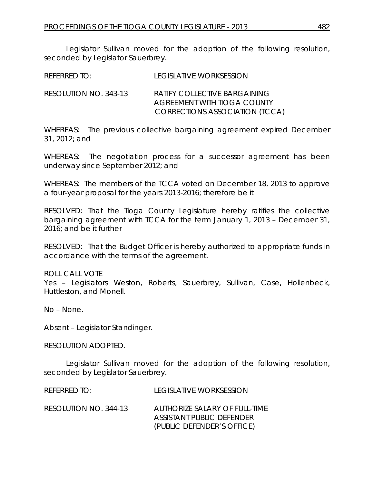Legislator Sullivan moved for the adoption of the following resolution, seconded by Legislator Sauerbrey.

| REFERRED TO: | <b>LEGISLATIVE WORKSESSION</b> |
|--------------|--------------------------------|
|              |                                |

RESOLUTION NO. 343-13 *RATIFY COLLECTIVE BARGAINING AGREEMENT WITH TIOGA COUNTY CORRECTIONS ASSOCIATION (TCCA)*

WHEREAS: The previous collective bargaining agreement expired December 31, 2012; and

WHEREAS: The negotiation process for a successor agreement has been underway since September 2012; and

WHEREAS: The members of the TCCA voted on December 18, 2013 to approve a four-year proposal for the years 2013-2016; therefore be it

RESOLVED: That the Tioga County Legislature hereby ratifies the collective bargaining agreement with TCCA for the term January 1, 2013 – December 31, 2016; and be it further

RESOLVED: That the Budget Officer is hereby authorized to appropriate funds in accordance with the terms of the agreement.

ROLL CALL VOTE Yes – Legislators Weston, Roberts, Sauerbrey, Sullivan, Case, Hollenbeck, Huttleston, and Monell.

No – None.

Absent – Legislator Standinger.

RESOLUTION ADOPTED.

Legislator Sullivan moved for the adoption of the following resolution, seconded by Legislator Sauerbrey.

| REFERRED TO:          | LEGISLATIVE WORKSESSION                                                                  |
|-----------------------|------------------------------------------------------------------------------------------|
| RESOLUTION NO. 344-13 | AUTHORIZE SALARY OF FULL-TIME<br>ASSISTANT PUBLIC DEFENDER<br>(PUBLIC DEFENDER'S OFFICE) |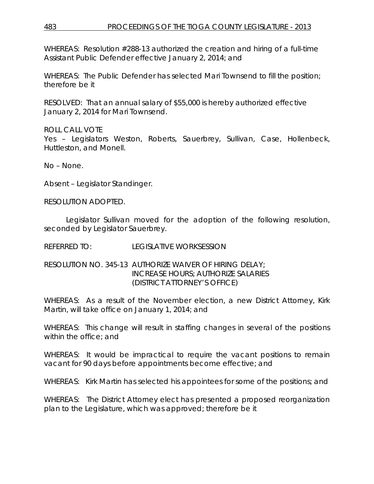WHEREAS: Resolution #288-13 authorized the creation and hiring of a full-time Assistant Public Defender effective January 2, 2014; and

WHEREAS: The Public Defender has selected Mari Townsend to fill the position; therefore be it

RESOLVED: That an annual salary of \$55,000 is hereby authorized effective January 2, 2014 for Mari Townsend.

ROLL CALL VOTE Yes – Legislators Weston, Roberts, Sauerbrey, Sullivan, Case, Hollenbeck, Huttleston, and Monell.

No – None.

Absent – Legislator Standinger.

RESOLUTION ADOPTED.

Legislator Sullivan moved for the adoption of the following resolution, seconded by Legislator Sauerbrey.

REFERRED TO: LEGISLATIVE WORKSESSION

## RESOLUTION NO. 345-13 *AUTHORIZE WAIVER OF HIRING DELAY; INCREASE HOURS; AUTHORIZE SALARIES (DISTRICT ATTORNEY'S OFFICE)*

WHEREAS: As a result of the November election, a new District Attorney, Kirk Martin, will take office on January 1, 2014; and

WHEREAS: This change will result in staffing changes in several of the positions within the office; and

WHEREAS: It would be impractical to require the vacant positions to remain vacant for 90 days before appointments become effective; and

WHEREAS: Kirk Martin has selected his appointees for some of the positions; and

WHEREAS: The District Attorney elect has presented a proposed reorganization plan to the Legislature, which was approved; therefore be it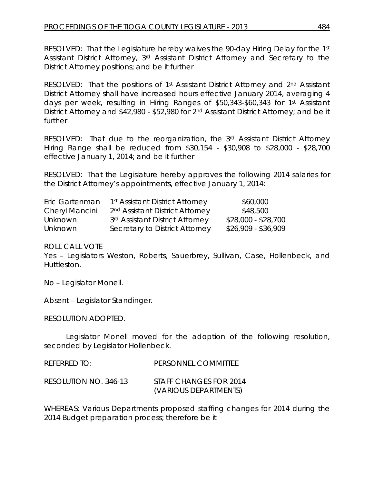RESOLVED: That the Legislature hereby waives the 90-day Hiring Delay for the 1st Assistant District Attorney, 3rd Assistant District Attorney and Secretary to the District Attorney positions; and be it further

RESOLVED: That the positions of 1<sup>st</sup> Assistant District Attorney and 2<sup>nd</sup> Assistant District Attorney shall have increased hours effective January 2014, averaging 4 days per week, resulting in Hiring Ranges of \$50,343-\$60,343 for 1st Assistant District Attorney and \$42,980 - \$52,980 for 2<sup>nd</sup> Assistant District Attorney; and be it further

RESOLVED: That due to the reorganization, the 3rd Assistant District Attorney Hiring Range shall be reduced from \$30,154 - \$30,908 to \$28,000 - \$28,700 effective January 1, 2014; and be it further

RESOLVED: That the Legislature hereby approves the following 2014 salaries for the District Attorney's appointments, effective January 1, 2014:

| Eric Gartenman | 1 <sup>st</sup> Assistant District Attorney | \$60,000            |
|----------------|---------------------------------------------|---------------------|
| Cheryl Mancini | 2 <sup>nd</sup> Assistant District Attorney | \$48,500            |
| <b>Unknown</b> | 3rd Assistant District Attorney             | $$28,000 - $28,700$ |
| <b>Unknown</b> | Secretary to District Attorney              | $$26,909 - $36,909$ |

ROLL CALL VOTE

Yes – Legislators Weston, Roberts, Sauerbrey, Sullivan, Case, Hollenbeck, and Huttleston.

No – Legislator Monell.

Absent – Legislator Standinger.

RESOLUTION ADOPTED.

Legislator Monell moved for the adoption of the following resolution, seconded by Legislator Hollenbeck.

| REFERRED TO:          | PERSONNEL COMMITTEE                             |
|-----------------------|-------------------------------------------------|
| RESOLUTION NO. 346-13 | STAFF CHANGES FOR 2014<br>(VARIOUS DEPARTMENTS) |

WHEREAS: Various Departments proposed staffing changes for 2014 during the 2014 Budget preparation process; therefore be it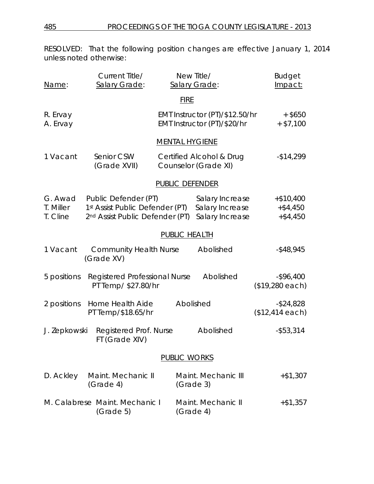RESOLVED: That the following position changes are effective January 1, 2014 unless noted otherwise:

| Name:                            | Current Title/<br>Salary Grade:                                                                        |                        | New Title/<br>Salary Grade:                                   | <b>Budget</b><br>Impact:                |
|----------------------------------|--------------------------------------------------------------------------------------------------------|------------------------|---------------------------------------------------------------|-----------------------------------------|
|                                  |                                                                                                        | <b>FIRE</b>            |                                                               |                                         |
| R. Ervay<br>A. Ervay             |                                                                                                        |                        | EMT Instructor (PT)/\$12.50/hr<br>EMT Instructor (PT)/\$20/hr | $+$ \$650<br>$+ $7,100$                 |
|                                  |                                                                                                        | <b>MENTAL HYGIENE</b>  |                                                               |                                         |
| 1 Vacant                         | Senior CSW<br>(Grade XVII)                                                                             |                        | Certified Alcohol & Drug<br>Counselor (Grade XI)              | $-$14,299$                              |
|                                  |                                                                                                        | <b>PUBLIC DEFENDER</b> |                                                               |                                         |
| G. Awad<br>T. Miller<br>T. Cline | Public Defender (PT)<br>1st Assist Public Defender (PT)<br>2 <sup>nd</sup> Assist Public Defender (PT) |                        | Salary Increase<br>Salary Increase<br>Salary Increase         | $+ $10,400$<br>$+ $4,450$<br>$+ $4,450$ |
|                                  |                                                                                                        | PUBLIC HEALTH          |                                                               |                                         |
| 1 Vacant                         | <b>Community Health Nurse</b><br>(Grade XV)                                                            |                        | Abolished                                                     | $-$ \$48,945                            |
| 5 positions                      | Registered Professional Nurse<br>PT Temp/ \$27.80/hr                                                   |                        | Abolished                                                     | $-$ \$96,400<br>(\$19,280 each)         |
| 2 positions                      | Home Health Aide<br>PT Temp/\$18.65/hr                                                                 |                        | Abolished                                                     | $-$ \$24,828<br>$($12,414$ each)        |
| J. Zepkowski                     | Registered Prof. Nurse<br>FT (Grade XIV)                                                               |                        | Abolished                                                     | $-$ \$53,314                            |
|                                  |                                                                                                        | <b>PUBLIC WORKS</b>    |                                                               |                                         |
| D. Ackley                        | Maint. Mechanic III<br>(Grade 4)                                                                       |                        | Maint, Mechanic III<br>(Grade 3)                              | $+ $1,307$                              |
|                                  | M. Calabrese Maint. Mechanic I<br>(Grade 5)                                                            |                        | Maint. Mechanic II<br>(Grade 4)                               | $+ $1,357$                              |